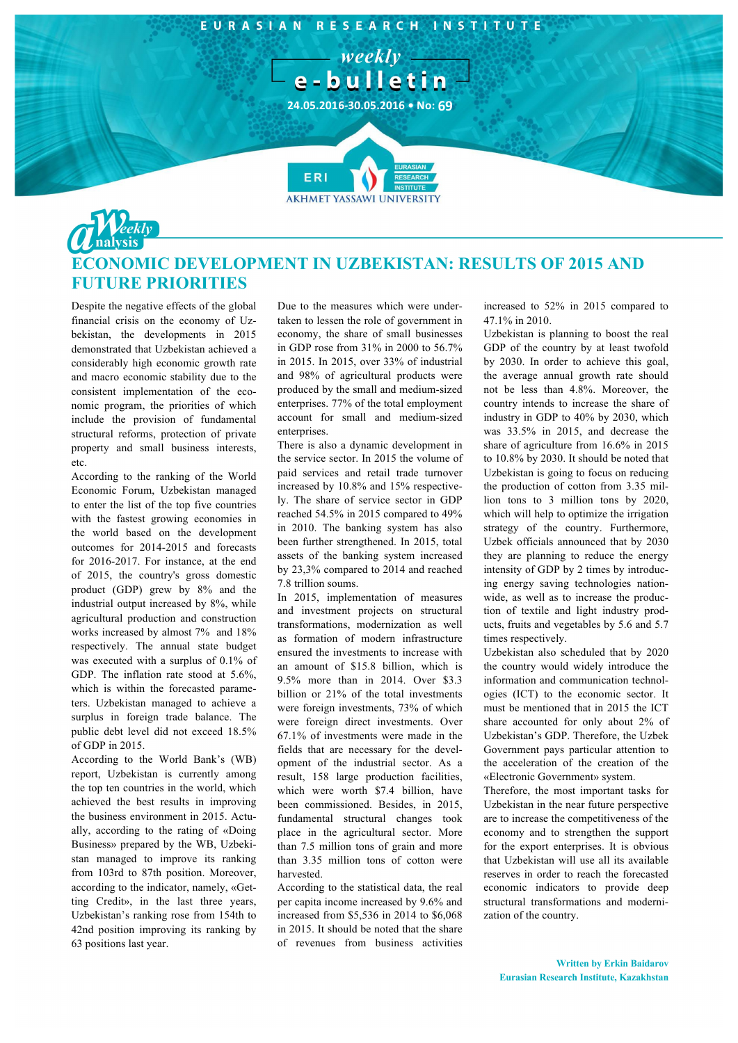

## **EQUIC DEVELOPMENT IN UZBEKISTAN: RESULTS OF 2015 AND FUTURE PRIORITIES**

Despite the negative effects of the global financial crisis on the economy of Uzbekistan, the developments in 2015 demonstrated that Uzbekistan achieved a considerably high economic growth rate and macro economic stability due to the consistent implementation of the economic program, the priorities of which include the provision of fundamental structural reforms, protection of private property and small business interests, etc.

According to the ranking of the World Economic Forum, Uzbekistan managed to enter the list of the top five countries with the fastest growing economies in the world based on the development outcomes for 2014-2015 and forecasts for 2016-2017. For instance, at the end of 2015, the country's gross domestic product (GDP) grew by 8% and the industrial output increased by 8%, while agricultural production and construction works increased by almost 7% and 18% respectively. The annual state budget was executed with a surplus of 0.1% of GDP. The inflation rate stood at 5.6%, which is within the forecasted parameters. Uzbekistan managed to achieve a surplus in foreign trade balance. The public debt level did not exceed 18.5% of GDP in 2015.

According to the World Bank's (WB) report, Uzbekistan is currently among the top ten countries in the world, which achieved the best results in improving the business environment in 2015. Actually, according to the rating of «Doing Business» prepared by the WB, Uzbekistan managed to improve its ranking from 103rd to 87th position. Moreover, according to the indicator, namely, «Getting Credit», in the last three years, Uzbekistan's ranking rose from 154th to 42nd position improving its ranking by 63 positions last year.

Due to the measures which were undertaken to lessen the role of government in economy, the share of small businesses in GDP rose from 31% in 2000 to 56.7% in 2015. In 2015, over 33% of industrial and 98% of agricultural products were produced by the small and medium-sized enterprises. 77% of the total employment account for small and medium-sized enterprises.

There is also a dynamic development in the service sector. In 2015 the volume of paid services and retail trade turnover increased by 10.8% and 15% respectively. The share of service sector in GDP reached 54.5% in 2015 compared to 49% in 2010. The banking system has also been further strengthened. In 2015, total assets of the banking system increased by 23,3% compared to 2014 and reached 7.8 trillion soums.

In 2015, implementation of measures and investment projects on structural transformations, modernization as well as formation of modern infrastructure ensured the investments to increase with an amount of \$15.8 billion, which is 9.5% more than in 2014. Over \$3.3 billion or 21% of the total investments were foreign investments, 73% of which were foreign direct investments. Over 67.1% of investments were made in the fields that are necessary for the development of the industrial sector. As a result, 158 large production facilities, which were worth \$7.4 billion, have been commissioned. Besides, in 2015, fundamental structural changes took place in the agricultural sector. More than 7.5 million tons of grain and more than 3.35 million tons of cotton were harvested.

According to the statistical data, the real per capita income increased by 9.6% and increased from \$5,536 in 2014 to \$6,068 in 2015. It should be noted that the share of revenues from business activities

increased to 52% in 2015 compared to 47.1% in 2010.

Uzbekistan is planning to boost the real GDP of the country by at least twofold by 2030. In order to achieve this goal, the average annual growth rate should not be less than 4.8%. Moreover, the country intends to increase the share of industry in GDP to 40% by 2030, which was 33.5% in 2015, and decrease the share of agriculture from 16.6% in 2015 to 10.8% by 2030. It should be noted that Uzbekistan is going to focus on reducing the production of cotton from 3.35 million tons to 3 million tons by 2020, which will help to optimize the irrigation strategy of the country. Furthermore, Uzbek officials announced that by 2030 they are planning to reduce the energy intensity of GDP by 2 times by introducing energy saving technologies nationwide, as well as to increase the production of textile and light industry products, fruits and vegetables by 5.6 and 5.7 times respectively.

Uzbekistan also scheduled that by 2020 the country would widely introduce the information and communication technologies (ICT) to the economic sector. It must be mentioned that in 2015 the ICT share accounted for only about 2% of Uzbekistan's GDP. Therefore, the Uzbek Government pays particular attention to the acceleration of the creation of the «Electronic Government» system.

Therefore, the most important tasks for Uzbekistan in the near future perspective are to increase the competitiveness of the economy and to strengthen the support for the export enterprises. It is obvious that Uzbekistan will use all its available reserves in order to reach the forecasted economic indicators to provide deep structural transformations and modernization of the country.